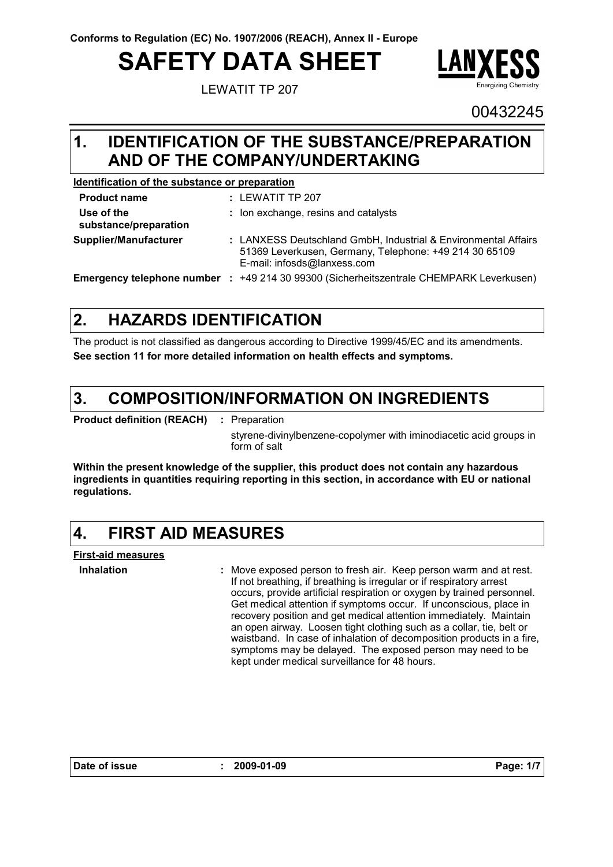# **SAFETY DATA SHEET**

LEWATIT TP 207



00432245

#### **IDENTIFICATION OF THE SUBSTANCE/PREPARATION 1. AND OF THE COMPANY/UNDERTAKING**

#### **Identification of the substance or preparation**

| <b>Product name</b>                 | $:$ LEWATIT TP 207                                                                                                                                      |
|-------------------------------------|---------------------------------------------------------------------------------------------------------------------------------------------------------|
| Use of the<br>substance/preparation | : Ion exchange, resins and catalysts                                                                                                                    |
| Supplier/Manufacturer               | : LANXESS Deutschland GmbH, Industrial & Environmental Affairs<br>51369 Leverkusen, Germany, Telephone: +49 214 30 65109<br>E-mail: infosds@lanxess.com |
|                                     | <b>Emergency telephone number : +49 214 30 99300 (Sicherheitszentrale CHEMPARK Leverkusen)</b>                                                          |

#### **HAZARDS IDENTIFICATION 2.**

The product is not classified as dangerous according to Directive 1999/45/EC and its amendments. **See section 11 for more detailed information on health effects and symptoms.**

#### **COMPOSITION/INFORMATION ON INGREDIENTS 3.**

**Product definition (REACH) :** : Preparation

styrene-divinylbenzene-copolymer with iminodiacetic acid groups in form of salt

**Within the present knowledge of the supplier, this product does not contain any hazardous ingredients in quantities requiring reporting in this section, in accordance with EU or national regulations.**

#### **4. FIRST AID MEASURES**

**First-aid measures**

**Inhalation :**

Move exposed person to fresh air. Keep person warm and at rest. If not breathing, if breathing is irregular or if respiratory arrest occurs, provide artificial respiration or oxygen by trained personnel. Get medical attention if symptoms occur. If unconscious, place in recovery position and get medical attention immediately. Maintain an open airway. Loosen tight clothing such as a collar, tie, belt or waistband. In case of inhalation of decomposition products in a fire, symptoms may be delayed. The exposed person may need to be kept under medical surveillance for 48 hours.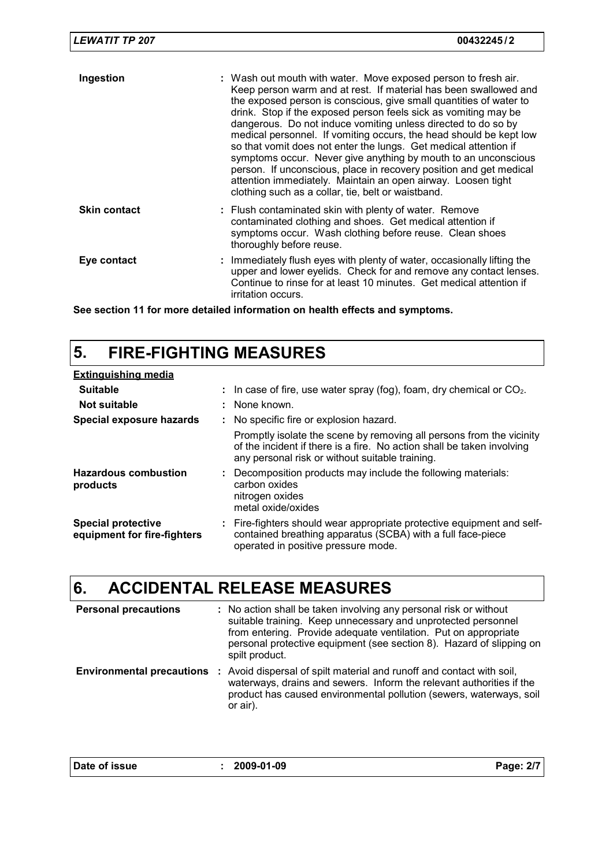| <b>LEWATIT TP 207</b> | 00432245/2                                                                                                                                                                                                                                                                                                                                                                                                                                                                                                                                                                                                                                                                                                                                           |
|-----------------------|------------------------------------------------------------------------------------------------------------------------------------------------------------------------------------------------------------------------------------------------------------------------------------------------------------------------------------------------------------------------------------------------------------------------------------------------------------------------------------------------------------------------------------------------------------------------------------------------------------------------------------------------------------------------------------------------------------------------------------------------------|
| Ingestion             | : Wash out mouth with water. Move exposed person to fresh air.<br>Keep person warm and at rest. If material has been swallowed and<br>the exposed person is conscious, give small quantities of water to<br>drink. Stop if the exposed person feels sick as vomiting may be<br>dangerous. Do not induce vomiting unless directed to do so by<br>medical personnel. If vomiting occurs, the head should be kept low<br>so that vomit does not enter the lungs. Get medical attention if<br>symptoms occur. Never give anything by mouth to an unconscious<br>person. If unconscious, place in recovery position and get medical<br>attention immediately. Maintain an open airway. Loosen tight<br>clothing such as a collar, tie, belt or waistband. |
| <b>Skin contact</b>   | : Flush contaminated skin with plenty of water. Remove<br>contaminated clothing and shoes. Get medical attention if<br>symptoms occur. Wash clothing before reuse. Clean shoes<br>thoroughly before reuse.                                                                                                                                                                                                                                                                                                                                                                                                                                                                                                                                           |
| Eye contact           | : Immediately flush eyes with plenty of water, occasionally lifting the<br>upper and lower eyelids. Check for and remove any contact lenses.<br>Continue to rinse for at least 10 minutes. Get medical attention if<br>irritation occurs.                                                                                                                                                                                                                                                                                                                                                                                                                                                                                                            |

**See section 11 for more detailed information on health effects and symptoms.**

## **5. FIRE-FIGHTING MEASURES**

| <b>Extinguishing media</b>                               |                                                                                                                                                                                                   |
|----------------------------------------------------------|---------------------------------------------------------------------------------------------------------------------------------------------------------------------------------------------------|
| <b>Suitable</b>                                          | : In case of fire, use water spray (fog), foam, dry chemical or $CO2$ .                                                                                                                           |
| Not suitable                                             | : None known.                                                                                                                                                                                     |
| Special exposure hazards                                 | : No specific fire or explosion hazard.                                                                                                                                                           |
|                                                          | Promptly isolate the scene by removing all persons from the vicinity<br>of the incident if there is a fire. No action shall be taken involving<br>any personal risk or without suitable training. |
| <b>Hazardous combustion</b><br>products                  | Decomposition products may include the following materials:<br>carbon oxides<br>nitrogen oxides<br>metal oxide/oxides                                                                             |
| <b>Special protective</b><br>equipment for fire-fighters | : Fire-fighters should wear appropriate protective equipment and self-<br>contained breathing apparatus (SCBA) with a full face-piece<br>operated in positive pressure mode.                      |

## **6. ACCIDENTAL RELEASE MEASURES**

| <b>Personal precautions</b>      |    | : No action shall be taken involving any personal risk or without<br>suitable training. Keep unnecessary and unprotected personnel<br>from entering. Provide adequate ventilation. Put on appropriate<br>personal protective equipment (see section 8). Hazard of slipping on<br>spilt product. |
|----------------------------------|----|-------------------------------------------------------------------------------------------------------------------------------------------------------------------------------------------------------------------------------------------------------------------------------------------------|
| <b>Environmental precautions</b> | п. | Avoid dispersal of spilt material and runoff and contact with soil,<br>waterways, drains and sewers. Inform the relevant authorities if the<br>product has caused environmental pollution (sewers, waterways, soil<br>or air).                                                                  |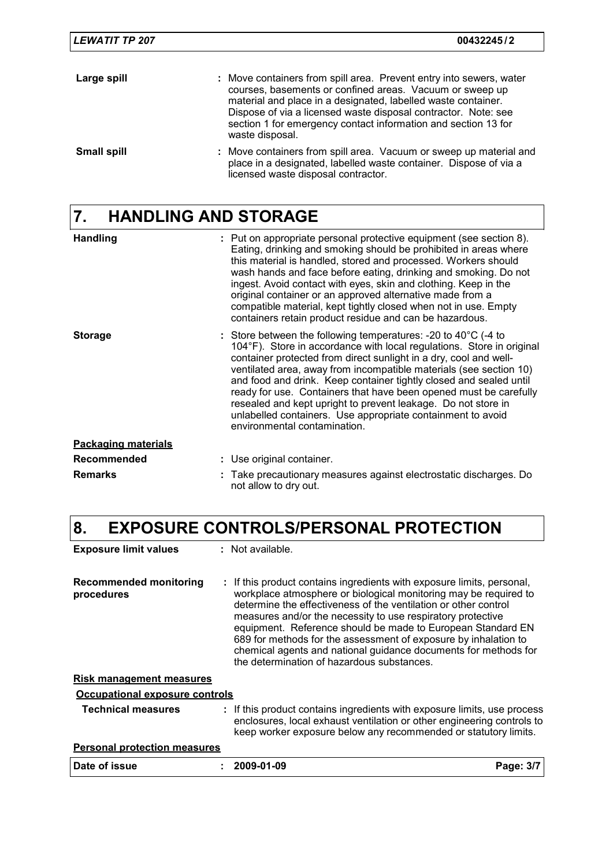| <b>LEWATIT TP 207</b> | 00432245/2                                                                                                                                                                                                                                                                                                                                              |
|-----------------------|---------------------------------------------------------------------------------------------------------------------------------------------------------------------------------------------------------------------------------------------------------------------------------------------------------------------------------------------------------|
| Large spill           | : Move containers from spill area. Prevent entry into sewers, water<br>courses, basements or confined areas. Vacuum or sweep up<br>material and place in a designated, labelled waste container.<br>Dispose of via a licensed waste disposal contractor. Note: see<br>section 1 for emergency contact information and section 13 for<br>waste disposal. |
| <b>Small spill</b>    | : Move containers from spill area. Vacuum or sweep up material and<br>place in a designated, labelled waste container. Dispose of via a<br>licensed waste disposal contractor.                                                                                                                                                                          |

## **7. HANDLING AND STORAGE**

| <b>Handling</b>            | : Put on appropriate personal protective equipment (see section 8).<br>Eating, drinking and smoking should be prohibited in areas where<br>this material is handled, stored and processed. Workers should<br>wash hands and face before eating, drinking and smoking. Do not<br>ingest. Avoid contact with eyes, skin and clothing. Keep in the<br>original container or an approved alternative made from a<br>compatible material, kept tightly closed when not in use. Empty<br>containers retain product residue and can be hazardous.                                                              |
|----------------------------|---------------------------------------------------------------------------------------------------------------------------------------------------------------------------------------------------------------------------------------------------------------------------------------------------------------------------------------------------------------------------------------------------------------------------------------------------------------------------------------------------------------------------------------------------------------------------------------------------------|
| <b>Storage</b>             | : Store between the following temperatures: -20 to $40^{\circ}$ C (-4 to<br>104°F). Store in accordance with local regulations. Store in original<br>container protected from direct sunlight in a dry, cool and well-<br>ventilated area, away from incompatible materials (see section 10)<br>and food and drink. Keep container tightly closed and sealed until<br>ready for use. Containers that have been opened must be carefully<br>resealed and kept upright to prevent leakage. Do not store in<br>unlabelled containers. Use appropriate containment to avoid<br>environmental contamination. |
| <b>Packaging materials</b> |                                                                                                                                                                                                                                                                                                                                                                                                                                                                                                                                                                                                         |
| <b>Recommended</b>         | : Use original container.                                                                                                                                                                                                                                                                                                                                                                                                                                                                                                                                                                               |
| <b>Remarks</b>             | Take precautionary measures against electrostatic discharges. Do<br>not allow to dry out.                                                                                                                                                                                                                                                                                                                                                                                                                                                                                                               |

## **8. EXPOSURE CONTROLS/PERSONAL PROTECTION**

| <b>Exposure limit values</b>                | : Not available.                                                                                                                                                                                                                                                                                                                                                                                                                                                                                                                |           |
|---------------------------------------------|---------------------------------------------------------------------------------------------------------------------------------------------------------------------------------------------------------------------------------------------------------------------------------------------------------------------------------------------------------------------------------------------------------------------------------------------------------------------------------------------------------------------------------|-----------|
| <b>Recommended monitoring</b><br>procedures | : If this product contains ingredients with exposure limits, personal,<br>workplace atmosphere or biological monitoring may be required to<br>determine the effectiveness of the ventilation or other control<br>measures and/or the necessity to use respiratory protective<br>equipment. Reference should be made to European Standard EN<br>689 for methods for the assessment of exposure by inhalation to<br>chemical agents and national guidance documents for methods for<br>the determination of hazardous substances. |           |
| <u>Risk management measures</u>             |                                                                                                                                                                                                                                                                                                                                                                                                                                                                                                                                 |           |
| Occupational exposure controls              |                                                                                                                                                                                                                                                                                                                                                                                                                                                                                                                                 |           |
| <b>Technical measures</b>                   | : If this product contains ingredients with exposure limits, use process<br>enclosures, local exhaust ventilation or other engineering controls to<br>keep worker exposure below any recommended or statutory limits.                                                                                                                                                                                                                                                                                                           |           |
| <b>Personal protection measures</b>         |                                                                                                                                                                                                                                                                                                                                                                                                                                                                                                                                 |           |
| Date of issue                               | 2009-01-09                                                                                                                                                                                                                                                                                                                                                                                                                                                                                                                      | Page: 3/7 |
|                                             |                                                                                                                                                                                                                                                                                                                                                                                                                                                                                                                                 |           |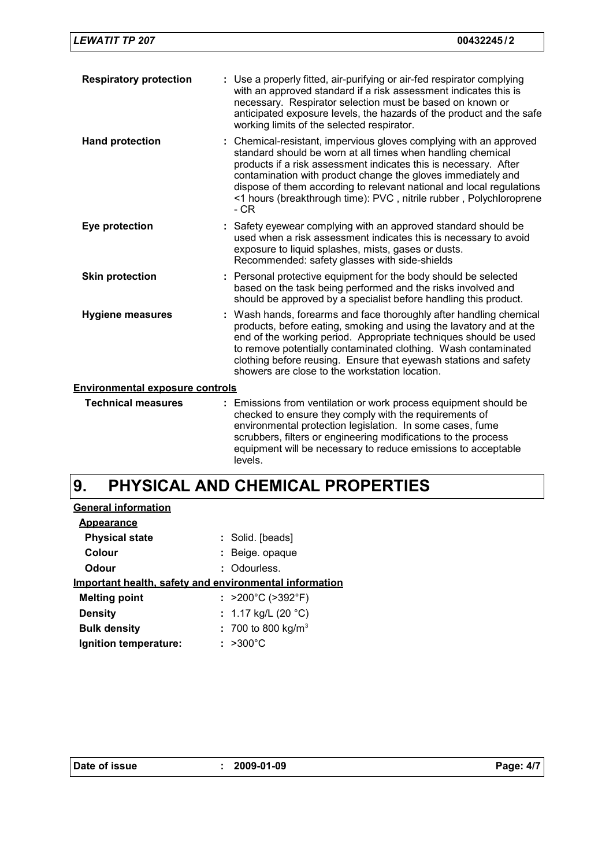| <b>Respiratory protection</b>          | : Use a properly fitted, air-purifying or air-fed respirator complying<br>with an approved standard if a risk assessment indicates this is<br>necessary. Respirator selection must be based on known or<br>anticipated exposure levels, the hazards of the product and the safe<br>working limits of the selected respirator.                                                                                                |
|----------------------------------------|------------------------------------------------------------------------------------------------------------------------------------------------------------------------------------------------------------------------------------------------------------------------------------------------------------------------------------------------------------------------------------------------------------------------------|
| <b>Hand protection</b>                 | : Chemical-resistant, impervious gloves complying with an approved<br>standard should be worn at all times when handling chemical<br>products if a risk assessment indicates this is necessary. After<br>contamination with product change the gloves immediately and<br>dispose of them according to relevant national and local regulations<br><1 hours (breakthrough time): PVC, nitrile rubber, Polychloroprene<br>$-CR$ |
| Eye protection                         | : Safety eyewear complying with an approved standard should be<br>used when a risk assessment indicates this is necessary to avoid<br>exposure to liquid splashes, mists, gases or dusts.<br>Recommended: safety glasses with side-shields                                                                                                                                                                                   |
| <b>Skin protection</b>                 | : Personal protective equipment for the body should be selected<br>based on the task being performed and the risks involved and<br>should be approved by a specialist before handling this product.                                                                                                                                                                                                                          |
| <b>Hygiene measures</b>                | : Wash hands, forearms and face thoroughly after handling chemical<br>products, before eating, smoking and using the lavatory and at the<br>end of the working period. Appropriate techniques should be used<br>to remove potentially contaminated clothing. Wash contaminated<br>clothing before reusing. Ensure that eyewash stations and safety<br>showers are close to the workstation location.                         |
| <b>Environmental exposure controls</b> |                                                                                                                                                                                                                                                                                                                                                                                                                              |
| <b>Technical measures</b>              | : Emissions from ventilation or work process equipment should be<br>checked to ensure they comply with the requirements of<br>environmental protection legislation. In some cases, fume<br>scrubbers, filters or engineering modifications to the process<br>equipment will be necessary to reduce emissions to acceptable<br>levels.                                                                                        |

#### **PHYSICAL AND CHEMICAL PROPERTIES 9.**

| <b>General information</b> |                                                        |  |
|----------------------------|--------------------------------------------------------|--|
| Appearance                 |                                                        |  |
| <b>Physical state</b>      | : Solid. [beads]                                       |  |
| Colour                     | : Beige. opaque                                        |  |
| Odour                      | : Odourless.                                           |  |
|                            | Important health, safety and environmental information |  |
| <b>Melting point</b>       | : $>200^{\circ}$ C ( $>392^{\circ}$ F)                 |  |
| <b>Density</b>             | : 1.17 kg/L (20 $^{\circ}$ C)                          |  |
| <b>Bulk density</b>        | : 700 to 800 kg/m <sup>3</sup>                         |  |
| Ignition temperature:      | $: >300^{\circ}$ C                                     |  |
|                            |                                                        |  |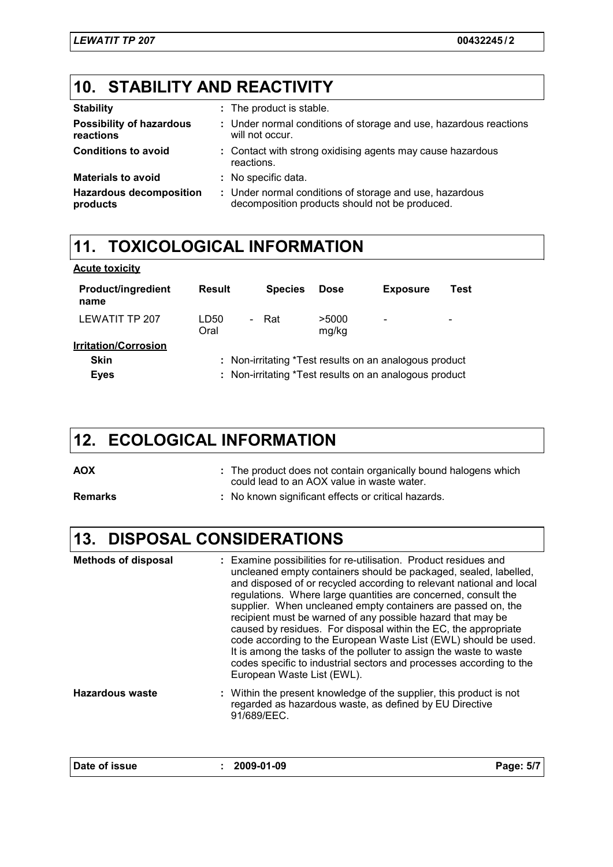## **10. STABILITY AND REACTIVITY**

| <b>Stability</b>                             | : The product is stable.                                                                                  |
|----------------------------------------------|-----------------------------------------------------------------------------------------------------------|
| <b>Possibility of hazardous</b><br>reactions | : Under normal conditions of storage and use, hazardous reactions<br>will not occur.                      |
| <b>Conditions to avoid</b>                   | : Contact with strong oxidising agents may cause hazardous<br>reactions.                                  |
| <b>Materials to avoid</b>                    | : No specific data.                                                                                       |
| <b>Hazardous decomposition</b><br>products   | : Under normal conditions of storage and use, hazardous<br>decomposition products should not be produced. |

#### **11. TOXICOLOGICAL INFORMATION**

| <b>Acute toxicity</b> |
|-----------------------|
|-----------------------|

| <b>Product/ingredient</b><br>name | Result                                                 | <b>Species</b> | <b>Dose</b>    | <b>Exposure</b>              | Test                     |
|-----------------------------------|--------------------------------------------------------|----------------|----------------|------------------------------|--------------------------|
| LEWATIT TP 207                    | LD50<br>$\blacksquare$<br>Oral                         | Rat            | >5000<br>mg/kg | $\qquad \qquad \blacksquare$ | $\overline{\phantom{0}}$ |
| <b>Irritation/Corrosion</b>       |                                                        |                |                |                              |                          |
| <b>Skin</b>                       | : Non-irritating *Test results on an analogous product |                |                |                              |                          |
| <b>Eyes</b>                       | : Non-irritating *Test results on an analogous product |                |                |                              |                          |

## **12. ECOLOGICAL INFORMATION**

**AOX :** The product does not contain organically bound halogens which could lead to an AOX value in waste water.

**Remarks :** No known significant effects or critical hazards.

## **13. DISPOSAL CONSIDERATIONS**

| <b>Methods of disposal</b> | : Examine possibilities for re-utilisation. Product residues and<br>uncleaned empty containers should be packaged, sealed, labelled,<br>and disposed of or recycled according to relevant national and local<br>regulations. Where large quantities are concerned, consult the<br>supplier. When uncleaned empty containers are passed on, the<br>recipient must be warned of any possible hazard that may be<br>caused by residues. For disposal within the EC, the appropriate<br>code according to the European Waste List (EWL) should be used.<br>It is among the tasks of the polluter to assign the waste to waste<br>codes specific to industrial sectors and processes according to the<br>European Waste List (EWL). |           |
|----------------------------|--------------------------------------------------------------------------------------------------------------------------------------------------------------------------------------------------------------------------------------------------------------------------------------------------------------------------------------------------------------------------------------------------------------------------------------------------------------------------------------------------------------------------------------------------------------------------------------------------------------------------------------------------------------------------------------------------------------------------------|-----------|
| Hazardous waste            | : Within the present knowledge of the supplier, this product is not<br>regarded as hazardous waste, as defined by EU Directive<br>91/689/EEC.                                                                                                                                                                                                                                                                                                                                                                                                                                                                                                                                                                                  |           |
| Date of issue              | $: 2009-01-09$                                                                                                                                                                                                                                                                                                                                                                                                                                                                                                                                                                                                                                                                                                                 | Page: 5/7 |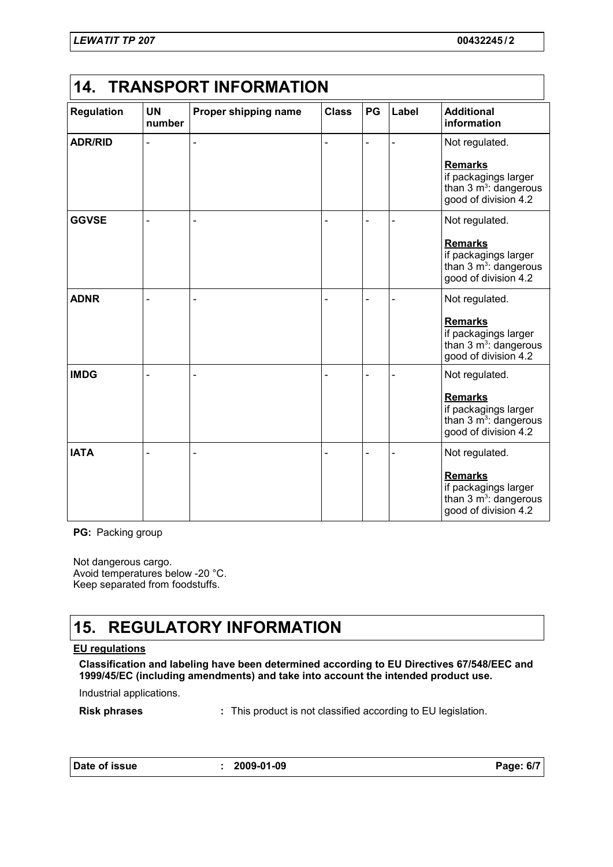| <b>Regulation</b> | <b>UN</b><br>number | Proper shipping name | <b>Class</b> | PG | Label | <b>Additional</b><br>information                                                                   |
|-------------------|---------------------|----------------------|--------------|----|-------|----------------------------------------------------------------------------------------------------|
| <b>ADR/RID</b>    |                     |                      |              | L. | ÷,    | Not regulated.<br><b>Remarks</b>                                                                   |
|                   |                     |                      |              |    |       | if packagings larger<br>than $3 \text{ m}^3$ : dangerous<br>good of division 4.2                   |
| <b>GGVSE</b>      |                     |                      |              |    |       | Not regulated.                                                                                     |
|                   |                     |                      |              |    |       | <b>Remarks</b><br>if packagings larger<br>than $3 \text{ m}^3$ : dangerous<br>good of division 4.2 |
| <b>ADNR</b>       |                     |                      |              |    |       | Not regulated.                                                                                     |
|                   |                     |                      |              |    |       | <b>Remarks</b><br>if packagings larger<br>than $3 \text{ m}^3$ : dangerous<br>good of division 4.2 |
| <b>IMDG</b>       |                     |                      |              |    |       | Not regulated.                                                                                     |
|                   |                     |                      |              |    |       | <b>Remarks</b><br>if packagings larger<br>than $3 \text{ m}^3$ : dangerous<br>good of division 4.2 |
| <b>IATA</b>       |                     |                      |              |    |       | Not regulated.                                                                                     |
|                   |                     |                      |              |    |       | <b>Remarks</b><br>if packagings larger<br>than $3 \text{ m}^3$ : dangerous<br>good of division 4.2 |

**PG:** Packing group

Not dangerous cargo. Avoid temperatures below -20 °C. Keep separated from foodstuffs.

## **15. REGULATORY INFORMATION**

#### **EU regulations**

**Classification and labeling have been determined according to EU Directives 67/548/EEC and 1999/45/EC (including amendments) and take into account the intended product use.**

Industrial applications.

**Risk phrases :** This product is not classified according to EU legislation.

**Date of issue : 2009-01-09 Page: 6/7**